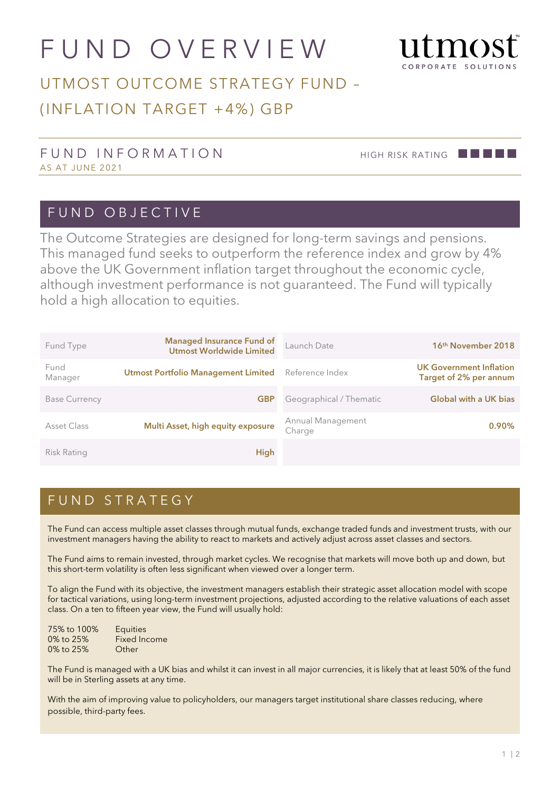# FUND OVERVIEW



## UTMOST OUTCOME STRATEGY FUND – (INFLATION TARGET +4%) GBP

#### FUND INFORMATION HIGH RISK RATING **AND INFORMATION** AS AT JUNE 2021

#### FUND OBJECTIVE

The Outcome Strategies are designed for long-term savings and pensions. This managed fund seeks to outperform the reference index and grow by 4% above the UK Government inflation target throughout the economic cycle, although investment performance is not guaranteed. The Fund will typically hold a high allocation to equities.

| Fund Type            | <b>Managed Insurance Fund of</b><br>Utmost Worldwide Limited | Launch Date                 | 16 <sup>th</sup> November 2018                           |
|----------------------|--------------------------------------------------------------|-----------------------------|----------------------------------------------------------|
| Fund<br>Manager      | <b>Utmost Portfolio Management Limited</b>                   | Reference Index             | <b>UK Government Inflation</b><br>Target of 2% per annum |
| <b>Base Currency</b> | <b>GBP</b>                                                   | Geographical / Thematic     | <b>Global with a UK bias</b>                             |
| Asset Class          | Multi Asset, high equity exposure                            | Annual Management<br>Charge | $0.90\%$                                                 |
| <b>Risk Rating</b>   | <b>High</b>                                                  |                             |                                                          |

#### FUND STRATEGY

The Fund can access multiple asset classes through mutual funds, exchange traded funds and investment trusts, with our investment managers having the ability to react to markets and actively adjust across asset classes and sectors.

The Fund aims to remain invested, through market cycles. We recognise that markets will move both up and down, but this short-term volatility is often less significant when viewed over a longer term.

To align the Fund with its objective, the investment managers establish their strategic asset allocation model with scope for tactical variations, using long-term investment projections, adjusted according to the relative valuations of each asset class. On a ten to fifteen year view, the Fund will usually hold:

| 75% to 100% | <b>Equities</b>     |
|-------------|---------------------|
| 0% to 25%   | <b>Fixed Income</b> |
| 0% to 25%   | Other               |

The Fund is managed with a UK bias and whilst it can invest in all major currencies, it is likely that at least 50% of the fund will be in Sterling assets at any time.

With the aim of improving value to policyholders, our managers target institutional share classes reducing, where possible, third-party fees.